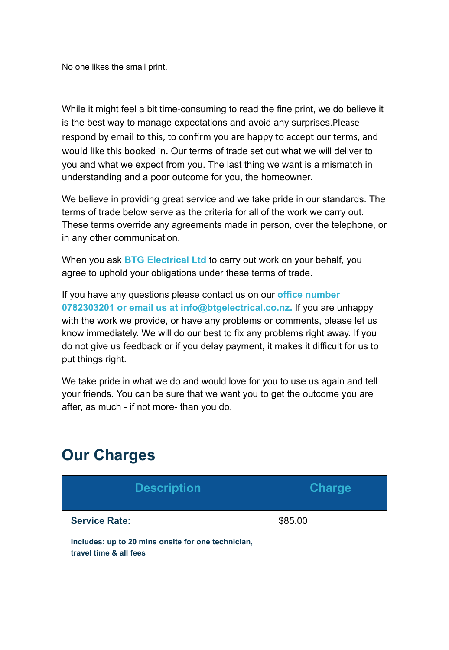No one likes the small print.

While it might feel a bit time-consuming to read the fine print, we do believe it is the best way to manage expectations and avoid any surprises.Please respond by email to this, to confirm you are happy to accept our terms, and would like this booked in. Our terms of trade set out what we will deliver to you and what we expect from you. The last thing we want is a mismatch in understanding and a poor outcome for you, the homeowner.

We believe in providing great service and we take pride in our standards. The terms of trade below serve as the criteria for all of the work we carry out. These terms override any agreements made in person, over the telephone, or in any other communication.

When you ask **BTG Electrical Ltd** to carry out work on your behalf, you agree to uphold your obligations under these terms of trade.

If you have any questions please contact us on our **office number 0782303201 or email us at info@btgelectrical.co.nz.** If you are unhappy with the work we provide, or have any problems or comments, please let us know immediately. We will do our best to fix any problems right away. If you do not give us feedback or if you delay payment, it makes it difficult for us to put things right.

We take pride in what we do and would love for you to use us again and tell your friends. You can be sure that we want you to get the outcome you are after, as much - if not more- than you do.

## **Our Charges**

| <b>Description</b>                                                           | <b>Charge</b> |
|------------------------------------------------------------------------------|---------------|
| <b>Service Rate:</b>                                                         | \$85.00       |
| Includes: up to 20 mins onsite for one technician,<br>travel time & all fees |               |